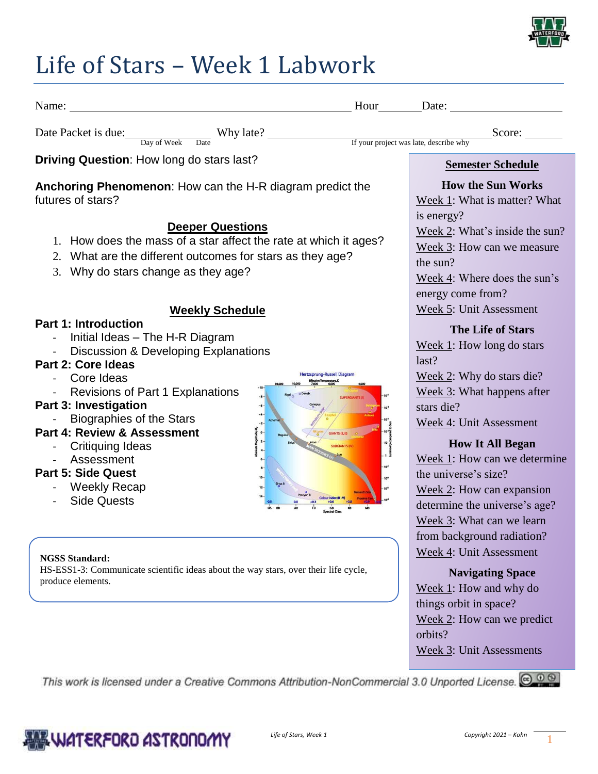

## Life of Stars – Week 1 Labwork

| Name:                                                                                                                                                                                                                                                                                                                                                                                                                                                                                                                              | Hour Date:                                                                                                                                                                                                                                                                                                                                                                                                   |  |
|------------------------------------------------------------------------------------------------------------------------------------------------------------------------------------------------------------------------------------------------------------------------------------------------------------------------------------------------------------------------------------------------------------------------------------------------------------------------------------------------------------------------------------|--------------------------------------------------------------------------------------------------------------------------------------------------------------------------------------------------------------------------------------------------------------------------------------------------------------------------------------------------------------------------------------------------------------|--|
| Date Packet is due: Day of Week Date Why late?<br>If your project was late, describe why                                                                                                                                                                                                                                                                                                                                                                                                                                           | Score:                                                                                                                                                                                                                                                                                                                                                                                                       |  |
| Driving Question: How long do stars last?                                                                                                                                                                                                                                                                                                                                                                                                                                                                                          | <b>Semester Schedule</b>                                                                                                                                                                                                                                                                                                                                                                                     |  |
| Anchoring Phenomenon: How can the H-R diagram predict the<br>futures of stars?<br><b>Deeper Questions</b><br>1. How does the mass of a star affect the rate at which it ages?<br>2. What are the different outcomes for stars as they age?<br>3. Why do stars change as they age?                                                                                                                                                                                                                                                  | <b>How the Sun Works</b><br>Week 1: What is matter? What<br>is energy?<br>Week 2: What's inside the sun?<br>Week 3: How can we measure<br>the sun?<br>Week 4: Where does the sun's<br>energy come from?                                                                                                                                                                                                      |  |
| <b>Weekly Schedule</b><br><b>Part 1: Introduction</b><br>Initial Ideas - The H-R Diagram<br>Discussion & Developing Explanations<br>Part 2: Core Ideas<br><b>Hertzsprung-Russell Diagran</b><br>Core Ideas<br><b>Revisions of Part 1 Explanations</b><br><b>Part 3: Investigation</b><br><b>Biographies of the Stars</b><br>Part 4: Review & Assessment<br><b>GIANTS (ILIII)</b><br>Critiquing Ideas<br>Assessment<br>10 <sup>1</sup><br><b>Part 5: Side Quest</b><br>10 <sup>2</sup><br><b>Weekly Recap</b><br><b>Side Quests</b> | Week 5: Unit Assessment<br><b>The Life of Stars</b><br>Week $1$ : How long do stars<br>last?<br>Week 2: Why do stars die?<br>Week 3: What happens after<br>stars die?<br>Week 4: Unit Assessment<br><b>How It All Began</b><br>Week 1: How can we determine<br>the universe's size?<br>Week 2: How can expansion<br>determine the universe's age?<br>Week 3: What can we learn<br>from background radiation? |  |
| <b>NGSS Standard:</b><br>HS-ESS1-3: Communicate scientific ideas about the way stars, over their life cycle,<br>produce elements.                                                                                                                                                                                                                                                                                                                                                                                                  | Week 4: Unit Assessment<br><b>Navigating Space</b><br>Week 1: How and why do<br>things orbit in space?<br>Week 2: How can we predict<br>orbits?<br>Week 3: Unit Assessments                                                                                                                                                                                                                                  |  |
| This work is licensed under a Creative Commons Attribution-NonCommercial 3.0 Unported License. @ 0 @                                                                                                                                                                                                                                                                                                                                                                                                                               |                                                                                                                                                                                                                                                                                                                                                                                                              |  |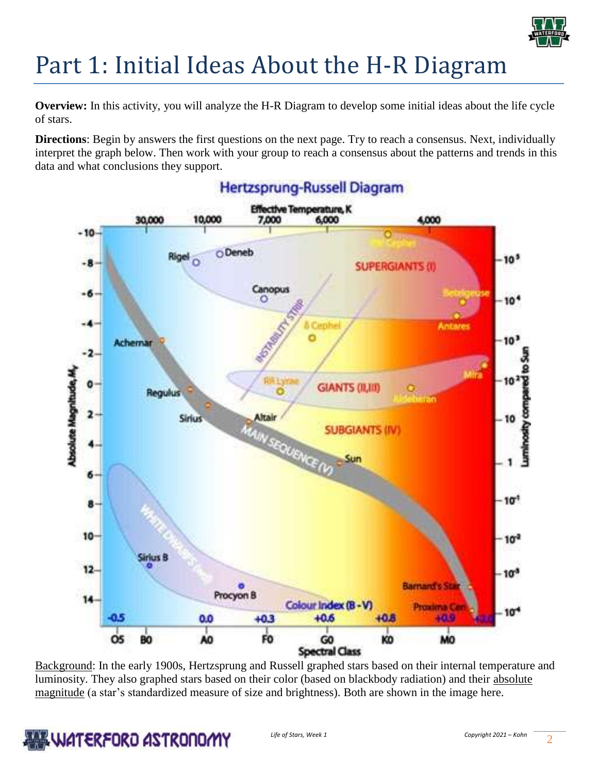

# Part 1: Initial Ideas About the H-R Diagram

**Overview:** In this activity, you will analyze the H-R Diagram to develop some initial ideas about the life cycle of stars.

**Directions**: Begin by answers the first questions on the next page. Try to reach a consensus. Next, individually interpret the graph below. Then work with your group to reach a consensus about the patterns and trends in this data and what conclusions they support.



Background: In the early 1900s, Hertzsprung and Russell graphed stars based on their internal temperature and luminosity. They also graphed stars based on their color (based on blackbody radiation) and their absolute magnitude (a star's standardized measure of size and brightness). Both are shown in the image here.

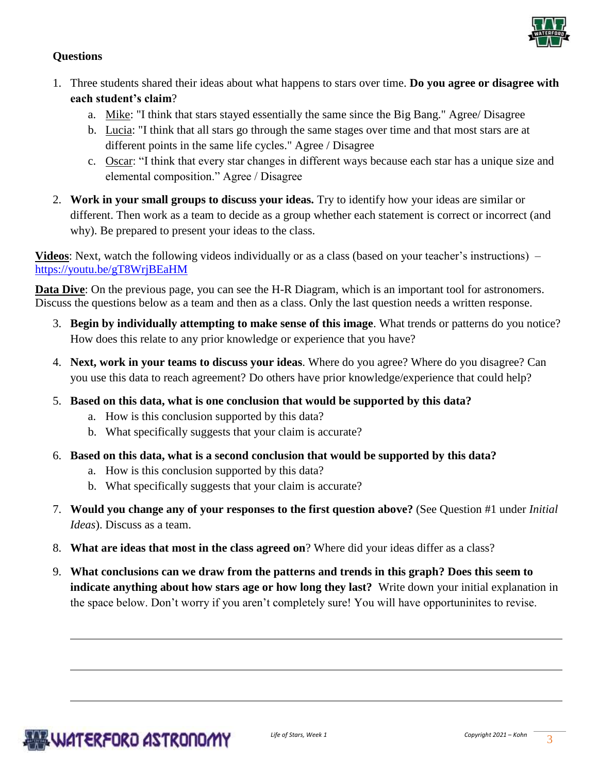

## **Questions**

- 1. Three students shared their ideas about what happens to stars over time. **Do you agree or disagree with each student's claim**?
	- a. Mike: "I think that stars stayed essentially the same since the Big Bang." Agree/ Disagree
	- b. Lucia: "I think that all stars go through the same stages over time and that most stars are at different points in the same life cycles." Agree / Disagree
	- c. Oscar: "I think that every star changes in different ways because each star has a unique size and elemental composition." Agree / Disagree
- 2. **Work in your small groups to discuss your ideas.** Try to identify how your ideas are similar or different. Then work as a team to decide as a group whether each statement is correct or incorrect (and why). Be prepared to present your ideas to the class.

**Videos**: Next, watch the following videos individually or as a class (based on your teacher's instructions) – <https://youtu.be/gT8WrjBEaHM>

**Data Dive**: On the previous page, you can see the H-R Diagram, which is an important tool for astronomers. Discuss the questions below as a team and then as a class. Only the last question needs a written response.

- 3. **Begin by individually attempting to make sense of this image**. What trends or patterns do you notice? How does this relate to any prior knowledge or experience that you have?
- 4. **Next, work in your teams to discuss your ideas**. Where do you agree? Where do you disagree? Can you use this data to reach agreement? Do others have prior knowledge/experience that could help?
- 5. **Based on this data, what is one conclusion that would be supported by this data?** 
	- a. How is this conclusion supported by this data?
	- b. What specifically suggests that your claim is accurate?
- 6. **Based on this data, what is a second conclusion that would be supported by this data?** 
	- a. How is this conclusion supported by this data?
	- b. What specifically suggests that your claim is accurate?
- 7. **Would you change any of your responses to the first question above?** (See Question #1 under *Initial Ideas*). Discuss as a team.
- 8. **What are ideas that most in the class agreed on**? Where did your ideas differ as a class?
- 9. **What conclusions can we draw from the patterns and trends in this graph? Does this seem to indicate anything about how stars age or how long they last?** Write down your initial explanation in the space below. Don't worry if you aren't completely sure! You will have opportuninites to revise.

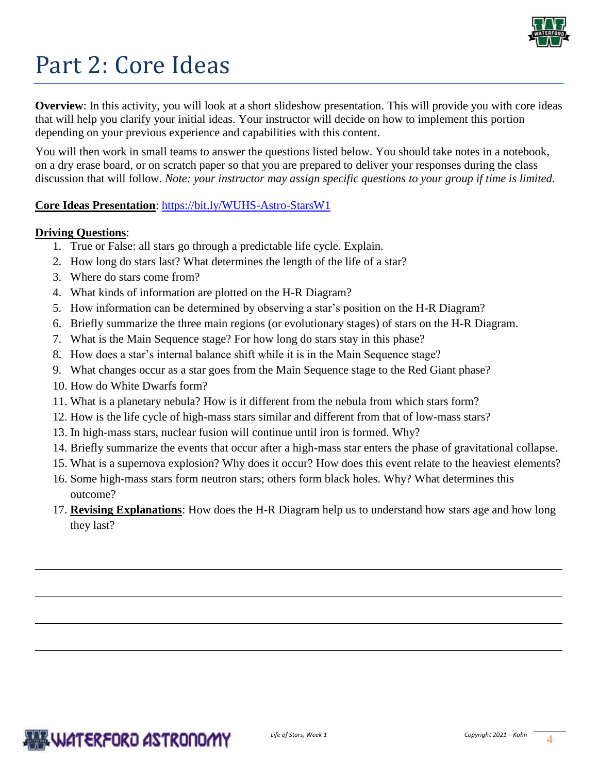

# Part 2: Core Ideas

**Overview**: In this activity, you will look at a short slideshow presentation. This will provide you with core ideas that will help you clarify your initial ideas. Your instructor will decide on how to implement this portion depending on your previous experience and capabilities with this content.

You will then work in small teams to answer the questions listed below. You should take notes in a notebook, on a dry erase board, or on scratch paper so that you are prepared to deliver your responses during the class discussion that will follow. *Note: your instructor may assign specific questions to your group if time is limited.* 

## **Core Ideas Presentation**: <https://bit.ly/WUHS-Astro-StarsW1>

## **Driving Questions**:

- 1. True or False: all stars go through a predictable life cycle. Explain.
- 2. How long do stars last? What determines the length of the life of a star?
- 3. Where do stars come from?
- 4. What kinds of information are plotted on the H-R Diagram?
- 5. How information can be determined by observing a star's position on the H-R Diagram?
- 6. Briefly summarize the three main regions (or evolutionary stages) of stars on the H-R Diagram.
- 7. What is the Main Sequence stage? For how long do stars stay in this phase?
- 8. How does a star's internal balance shift while it is in the Main Sequence stage?
- 9. What changes occur as a star goes from the Main Sequence stage to the Red Giant phase?
- 10. How do White Dwarfs form?
- 11. What is a planetary nebula? How is it different from the nebula from which stars form?
- 12. How is the life cycle of high-mass stars similar and different from that of low-mass stars?
- 13. In high-mass stars, nuclear fusion will continue until iron is formed. Why?
- 14. Briefly summarize the events that occur after a high-mass star enters the phase of gravitational collapse.
- 15. What is a supernova explosion? Why does it occur? How does this event relate to the heaviest elements?
- 16. Some high-mass stars form neutron stars; others form black holes. Why? What determines this outcome?
- 17. **Revising Explanations**: How does the H-R Diagram help us to understand how stars age and how long they last?

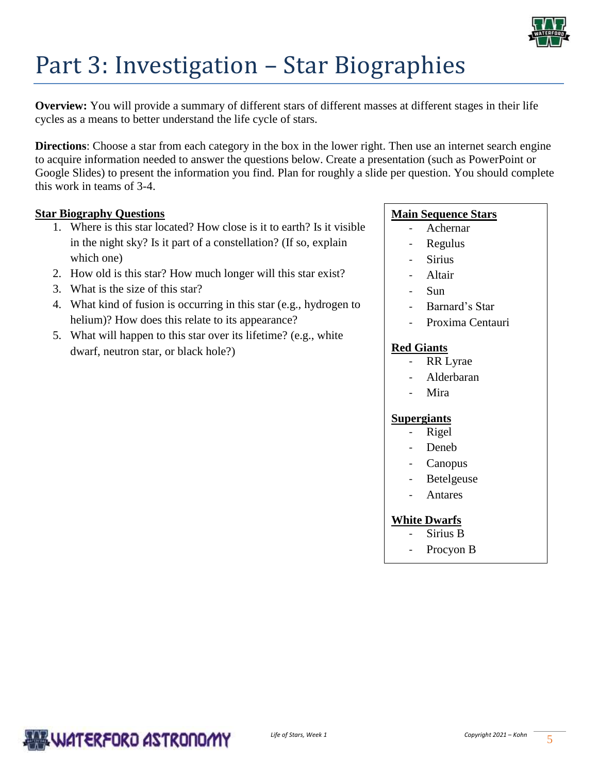

# Part 3: Investigation – Star Biographies

**Overview:** You will provide a summary of different stars of different masses at different stages in their life cycles as a means to better understand the life cycle of stars.

**Directions**: Choose a star from each category in the box in the lower right. Then use an internet search engine to acquire information needed to answer the questions below. Create a presentation (such as PowerPoint or Google Slides) to present the information you find. Plan for roughly a slide per question. You should complete this work in teams of 3-4.

## **Star Biography Questions**

- 1. Where is this star located? How close is it to earth? Is it visible in the night sky? Is it part of a constellation? (If so, explain which one)
- 2. How old is this star? How much longer will this star exist?
- 3. What is the size of this star?
- 4. What kind of fusion is occurring in this star (e.g., hydrogen to helium)? How does this relate to its appearance?
- 5. What will happen to this star over its lifetime? (e.g., white dwarf, neutron star, or black hole?)

## **Main Sequence Stars**

- Achernar
- Regulus
- **Sirius**
- **Altair**
- Sun
- Barnard's Star
- Proxima Centauri

#### **Red Giants**

- RR Lyrae
- Alderbaran
- Mira

#### **Supergiants**

- **Rigel**
- Deneb
- **Canopus**
- **Betelgeuse**
- **Antares**

#### **White Dwarfs**

- Sirius B
- Procyon B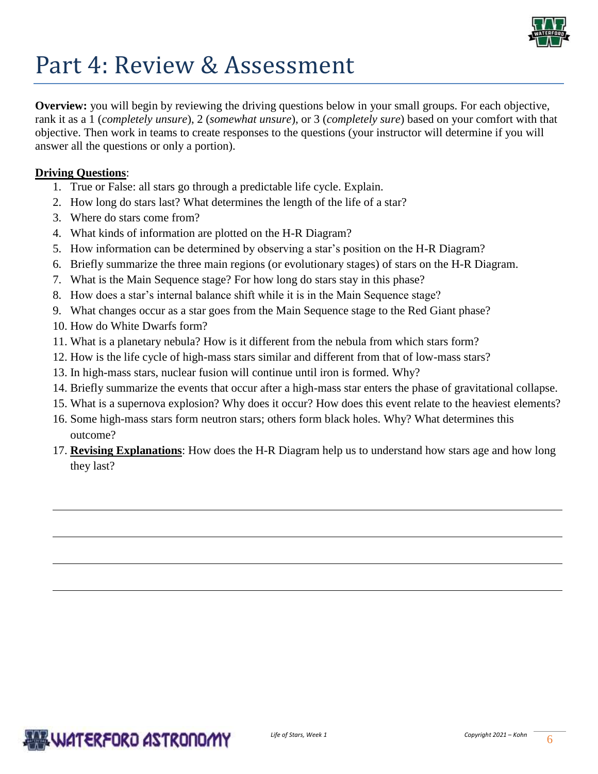

## Part 4: Review & Assessment

**Overview:** you will begin by reviewing the driving questions below in your small groups. For each objective, rank it as a 1 (*completely unsure*), 2 (*somewhat unsure*), or 3 (*completely sure*) based on your comfort with that objective. Then work in teams to create responses to the questions (your instructor will determine if you will answer all the questions or only a portion).

## **Driving Questions**:

- 1. True or False: all stars go through a predictable life cycle. Explain.
- 2. How long do stars last? What determines the length of the life of a star?
- 3. Where do stars come from?
- 4. What kinds of information are plotted on the H-R Diagram?
- 5. How information can be determined by observing a star's position on the H-R Diagram?
- 6. Briefly summarize the three main regions (or evolutionary stages) of stars on the H-R Diagram.
- 7. What is the Main Sequence stage? For how long do stars stay in this phase?
- 8. How does a star's internal balance shift while it is in the Main Sequence stage?
- 9. What changes occur as a star goes from the Main Sequence stage to the Red Giant phase?
- 10. How do White Dwarfs form?
- 11. What is a planetary nebula? How is it different from the nebula from which stars form?
- 12. How is the life cycle of high-mass stars similar and different from that of low-mass stars?
- 13. In high-mass stars, nuclear fusion will continue until iron is formed. Why?
- 14. Briefly summarize the events that occur after a high-mass star enters the phase of gravitational collapse.
- 15. What is a supernova explosion? Why does it occur? How does this event relate to the heaviest elements?
- 16. Some high-mass stars form neutron stars; others form black holes. Why? What determines this outcome?
- 17. **Revising Explanations**: How does the H-R Diagram help us to understand how stars age and how long they last?

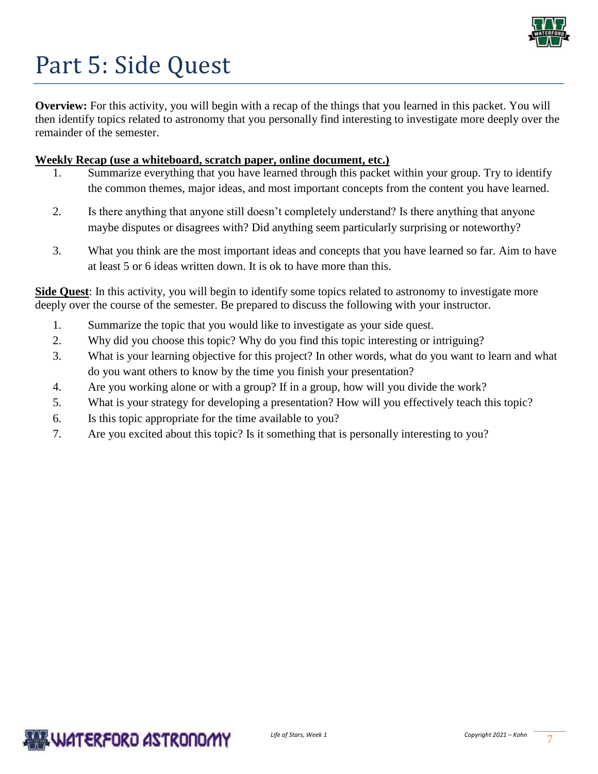

# Part 5: Side Quest

**Overview:** For this activity, you will begin with a recap of the things that you learned in this packet. You will then identify topics related to astronomy that you personally find interesting to investigate more deeply over the remainder of the semester.

## **Weekly Recap (use a whiteboard, scratch paper, online document, etc.)**

- Summarize everything that you have learned through this packet within your group. Try to identify the common themes, major ideas, and most important concepts from the content you have learned.
- 2. Is there anything that anyone still doesn't completely understand? Is there anything that anyone maybe disputes or disagrees with? Did anything seem particularly surprising or noteworthy?
- 3. What you think are the most important ideas and concepts that you have learned so far. Aim to have at least 5 or 6 ideas written down. It is ok to have more than this.

**Side Quest**: In this activity, you will begin to identify some topics related to astronomy to investigate more deeply over the course of the semester. Be prepared to discuss the following with your instructor.

- 1. Summarize the topic that you would like to investigate as your side quest.
- 2. Why did you choose this topic? Why do you find this topic interesting or intriguing?
- 3. What is your learning objective for this project? In other words, what do you want to learn and what do you want others to know by the time you finish your presentation?
- 4. Are you working alone or with a group? If in a group, how will you divide the work?
- 5. What is your strategy for developing a presentation? How will you effectively teach this topic?
- 6. Is this topic appropriate for the time available to you?
- 7. Are you excited about this topic? Is it something that is personally interesting to you?

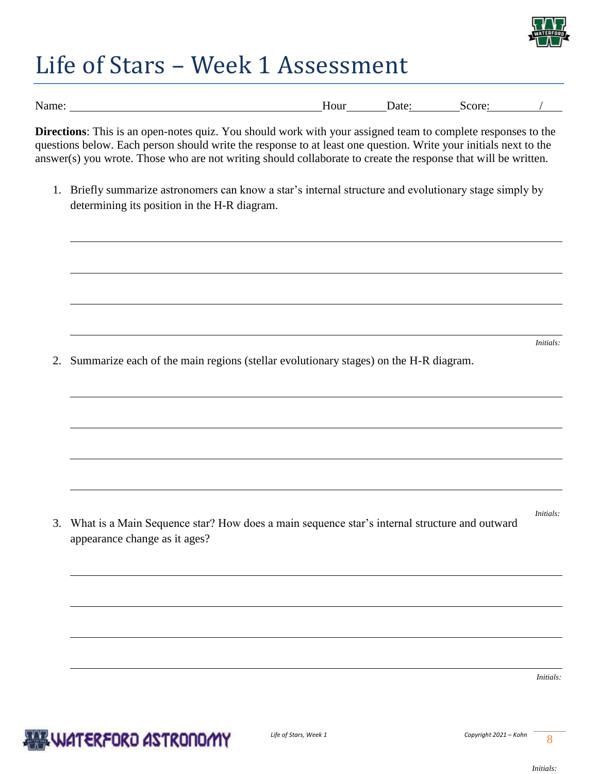

# Life of Stars – Week 1 Assessment

| Name: | Hour<br> | . Jate-<br>nu | core:<br>эt |  |
|-------|----------|---------------|-------------|--|

**Directions**: This is an open-notes quiz. You should work with your assigned team to complete responses to the questions below. Each person should write the response to at least one question. Write your initials next to the answer(s) you wrote. Those who are not writing should collaborate to create the response that will be written.

1. Briefly summarize astronomers can know a star's internal structure and evolutionary stage simply by determining its position in the H-R diagram.

*Initials:* 

2. Summarize each of the main regions (stellar evolutionary stages) on the H-R diagram.

3. What is a Main Sequence star? How does a main sequence star's internal structure and outward appearance change as it ages?

*Initials:* 

*Initials:*